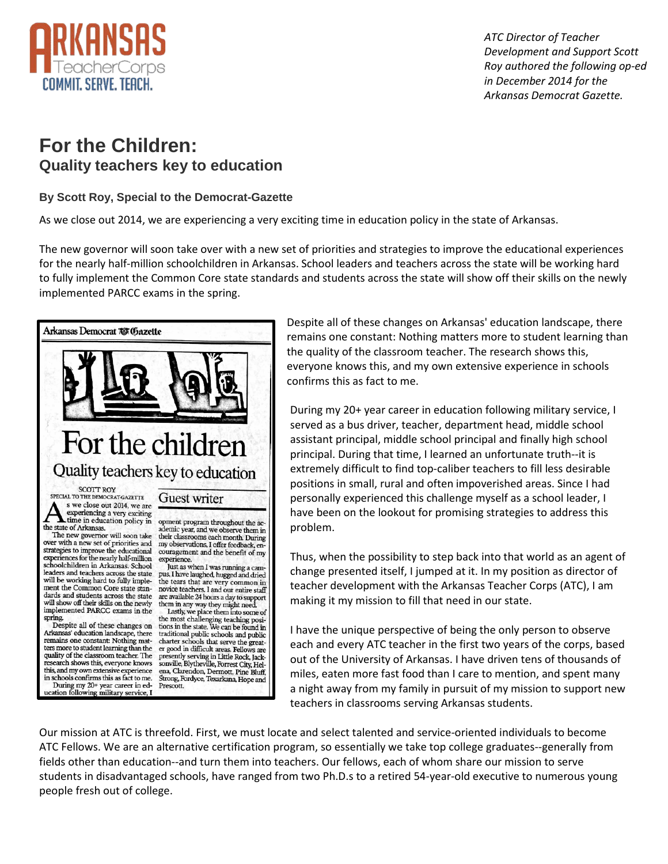

 *ATC Director of Teacher Development and Support Scott Roy authored the following op-ed in December 2014 for the Arkansas Democrat Gazette.*

## **For the Children: Quality teachers key to education**

## **By Scott Roy, Special to the Democrat-Gazette**

As we close out 2014, we are experiencing a very exciting time in education policy in the state of Arkansas.

The new governor will soon take over with a new set of priorities and strategies to improve the educational experiences for the nearly half-million schoolchildren in Arkansas. School leaders and teachers across the state will be working hard to fully implement the Common Core state standards and students across the state will show off their skills on the newly implemented PARCC exams in the spring.



Despite all of these changes on Arkansas' education landscape, there remains one constant: Nothing matters more to student learning than the quality of the classroom teacher. The research shows this, everyone knows this, and my own extensive experience in schools confirms this as fact to me.

During my 20+ year career in education following military service, I served as a bus driver, teacher, department head, middle school assistant principal, middle school principal and finally high school principal. During that time, I learned an unfortunate truth--it is extremely difficult to find top-caliber teachers to fill less desirable positions in small, rural and often impoverished areas. Since I had personally experienced this challenge myself as a school leader, I have been on the lookout for promising strategies to address this problem.

Thus, when the possibility to step back into that world as an agent of change presented itself, I jumped at it. In my position as director of teacher development with the Arkansas Teacher Corps (ATC), I am making it my mission to fill that need in our state.

I have the unique perspective of being the only person to observe each and every ATC teacher in the first two years of the corps, based out of the University of Arkansas. I have driven tens of thousands of miles, eaten more fast food than I care to mention, and spent many a night away from my family in pursuit of my mission to support new teachers in classrooms serving Arkansas students.

Our mission at ATC is threefold. First, we must locate and select talented and service-oriented individuals to become ATC Fellows. We are an alternative certification program, so essentially we take top college graduates--generally from fields other than education--and turn them into teachers. Our fellows, each of whom share our mission to serve students in disadvantaged schools, have ranged from two Ph.D.s to a retired 54-year-old executive to numerous young people fresh out of college.